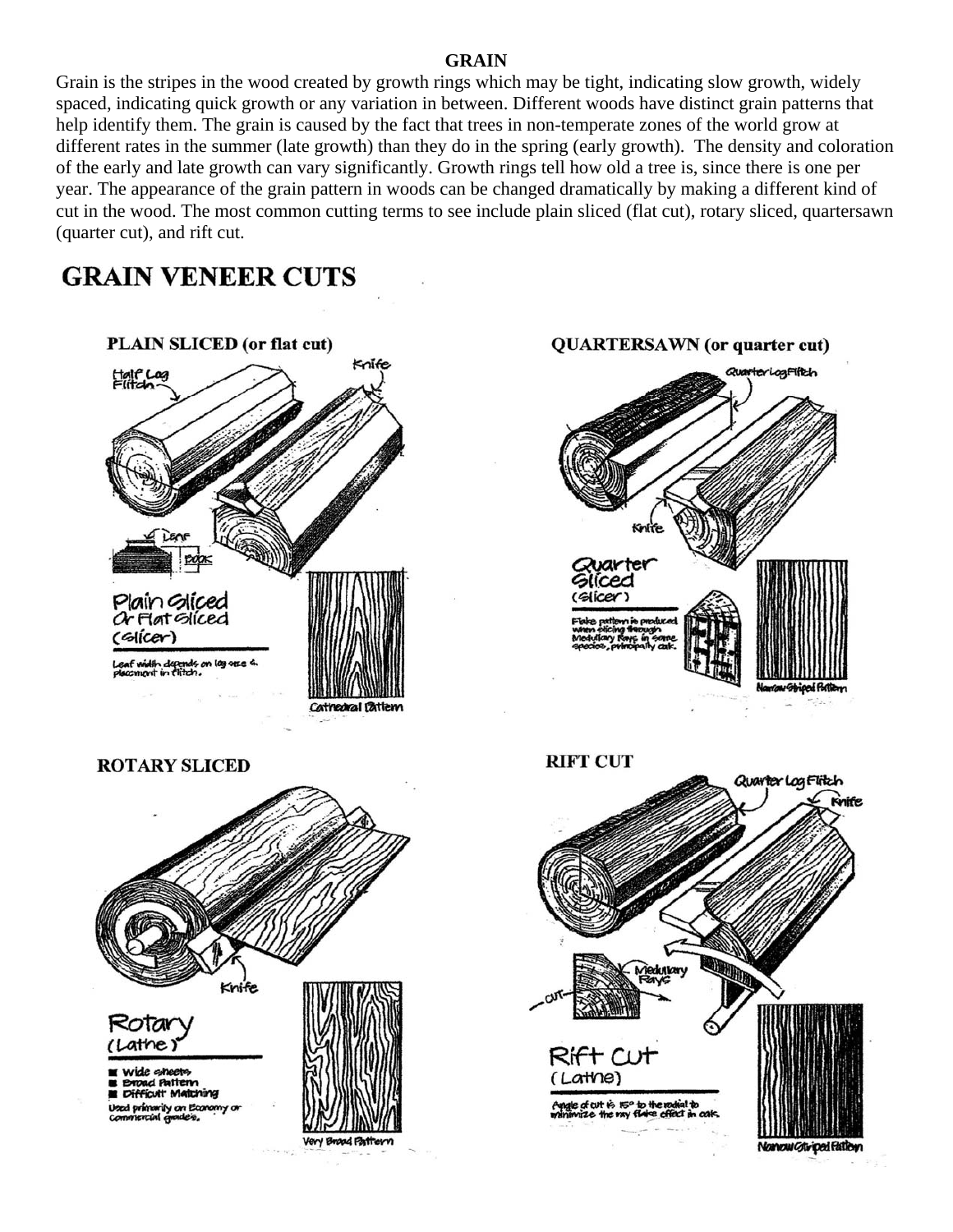#### **GRAIN**

Grain is the stripes in the wood created by growth rings which may be tight, indicating slow growth, widely spaced, indicating quick growth or any variation in between. Different woods have distinct grain patterns that help identify them. The grain is caused by the fact that trees in non-temperate zones of the world grow at different rates in the summer (late growth) than they do in the spring (early growth). The density and coloration of the early and late growth can vary significantly. Growth rings tell how old a tree is, since there is one per year. The appearance of the grain pattern in woods can be changed dramatically by making a different kind of cut in the wood. The most common cutting terms to see include plain sliced (flat cut), rotary sliced, quartersawn (quarter cut), and rift cut.

# **GRAIN VENEER CUTS**

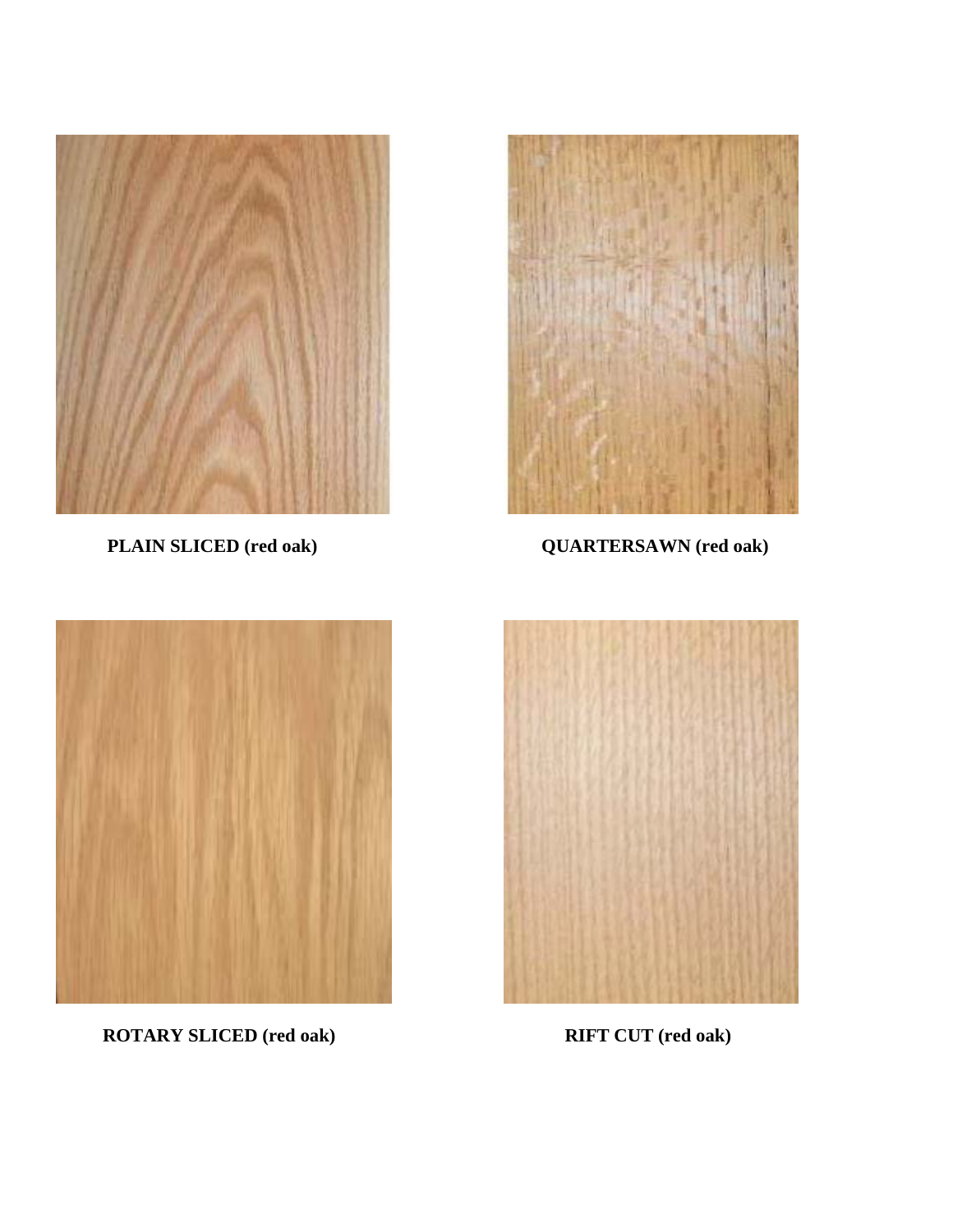

 **PLAIN SLICED (red oak)** 



 **QUARTERSAWN (red oak)** 



 **ROTARY SLICED (red oak)** 



 **RIFT CUT (red oak)**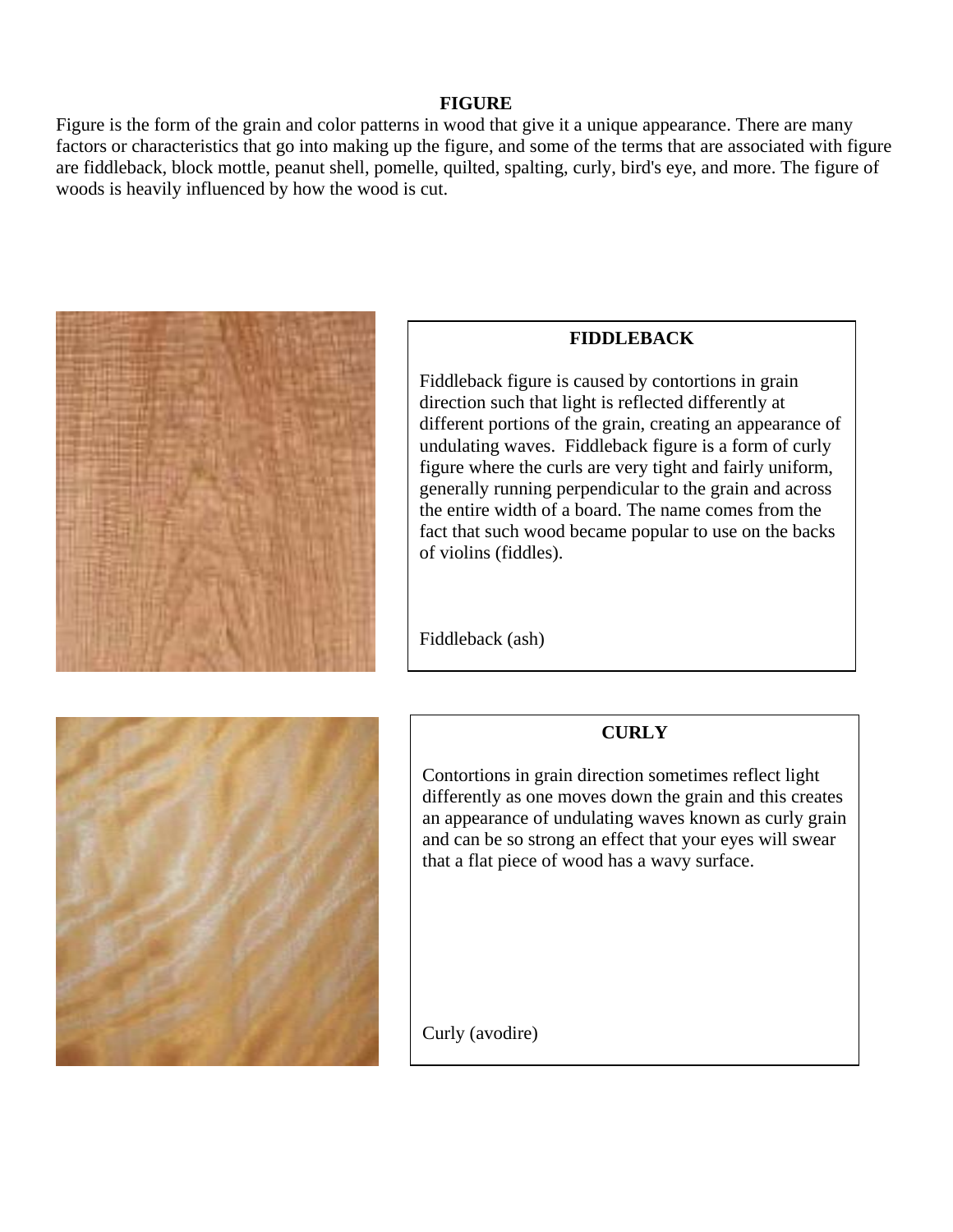#### **FIGURE**

Figure is the form of the grain and color patterns in wood that give it a unique appearance. There are many factors or characteristics that go into making up the figure, and some of the terms that are associated with figure are fiddleback, block mottle, peanut shell, pomelle, quilted, spalting, curly, bird's eye, and more. The figure of woods is heavily influenced by how the wood is cut.



#### **FIDDLEBACK**

Fiddleback figure is caused by contortions in grain different portions of the grain, creating an appearance of direction such that light is reflected differently at undulating waves. Fiddleback figure is a form of curly figure where the curls are very tight and fairly uniform, generally running perpendicular to the grain and across the entire width of a board. The name comes from the fact that such wood became popular to use on the backs of violins (fiddles).

Fiddleback (ash)

## **CURLY**

Contortions in grain direction sometimes reflect light differently as one moves down the grain and this creates an appearance of undulating waves known as curly grain and can be so strong an effect that your eyes will swear that a flat piece of wood has a wavy surface.



Curly (avodire)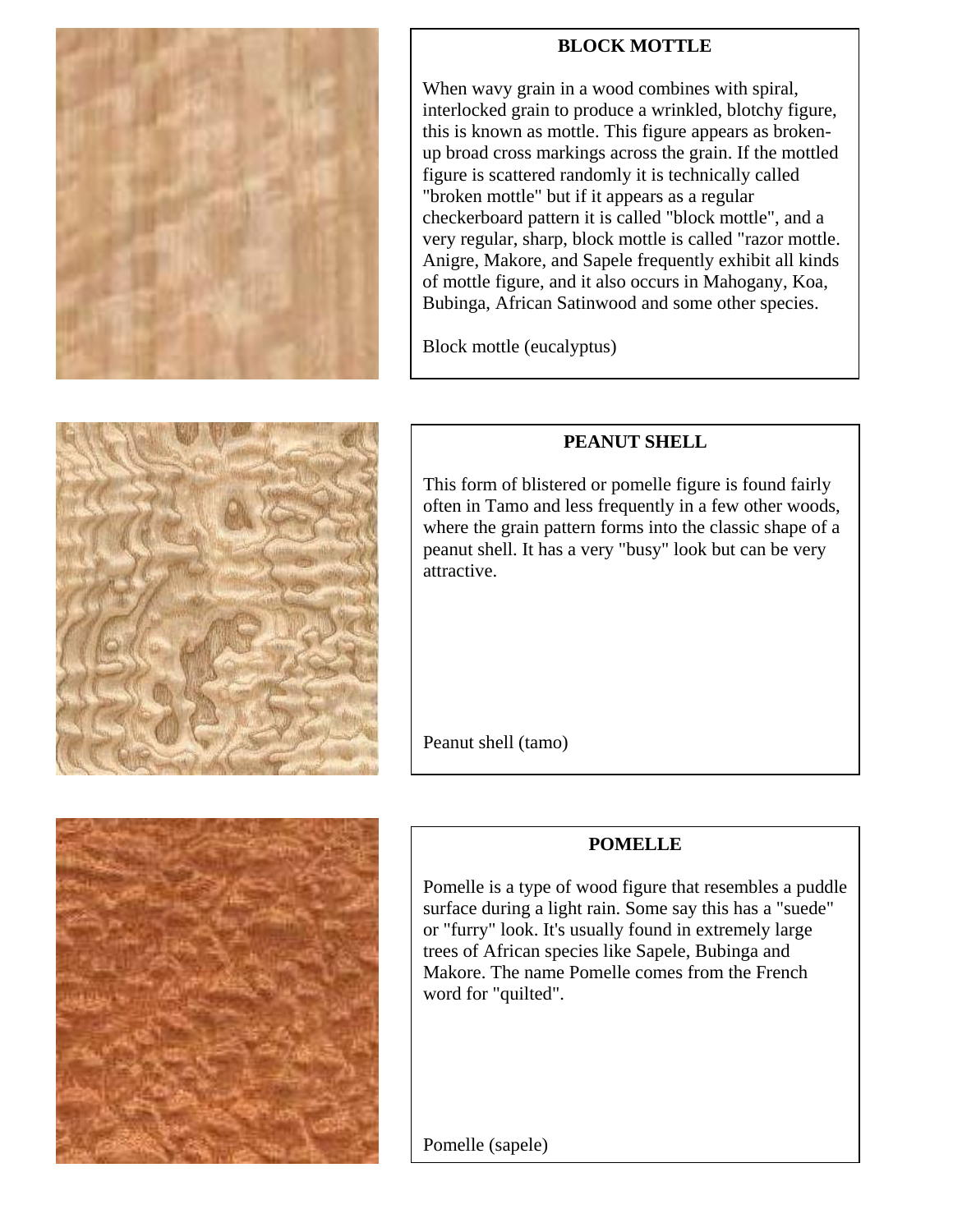

## **BLOCK MOTTLE**

When wavy grain in a wood combines with spiral, interlocked grain to produce a wrinkled, blotchy figure, this is known as mottle. This figure appears as brokenup broad cross markings across the grain. If the mottled figure is scattered randomly it is technically called "broken mottle" but if it appears as a regular checkerboard pattern it is called "block mottle", and a very regular, sharp, block mottle is called "razor mottle. Anigre, Makore, and Sapele frequently exhibit all kinds of mottle figure, and it also occurs in Mahogany, Koa, Bubinga, African Satinwood and some other species.

Block mottle (eucalyptus)

## **PEANUT SHELL**

This form of blistered or pomelle figure is found fairly often in Tamo and less frequently in a few other woods, where the grain pattern forms into the classic shape of a peanut shell. It has a very "busy" look but can be very attractive.

Peanut shell (tamo)

## **POMELLE**

Pomelle is a type of wood figure that resembles a puddle surface during a light rain. Some say this has a "suede" or "furry" look. It's usually found in extremely large trees of African species like Sapele, Bubinga and Makore. The name Pomelle comes from the French word for "quilted".

Pomelle (sapele)



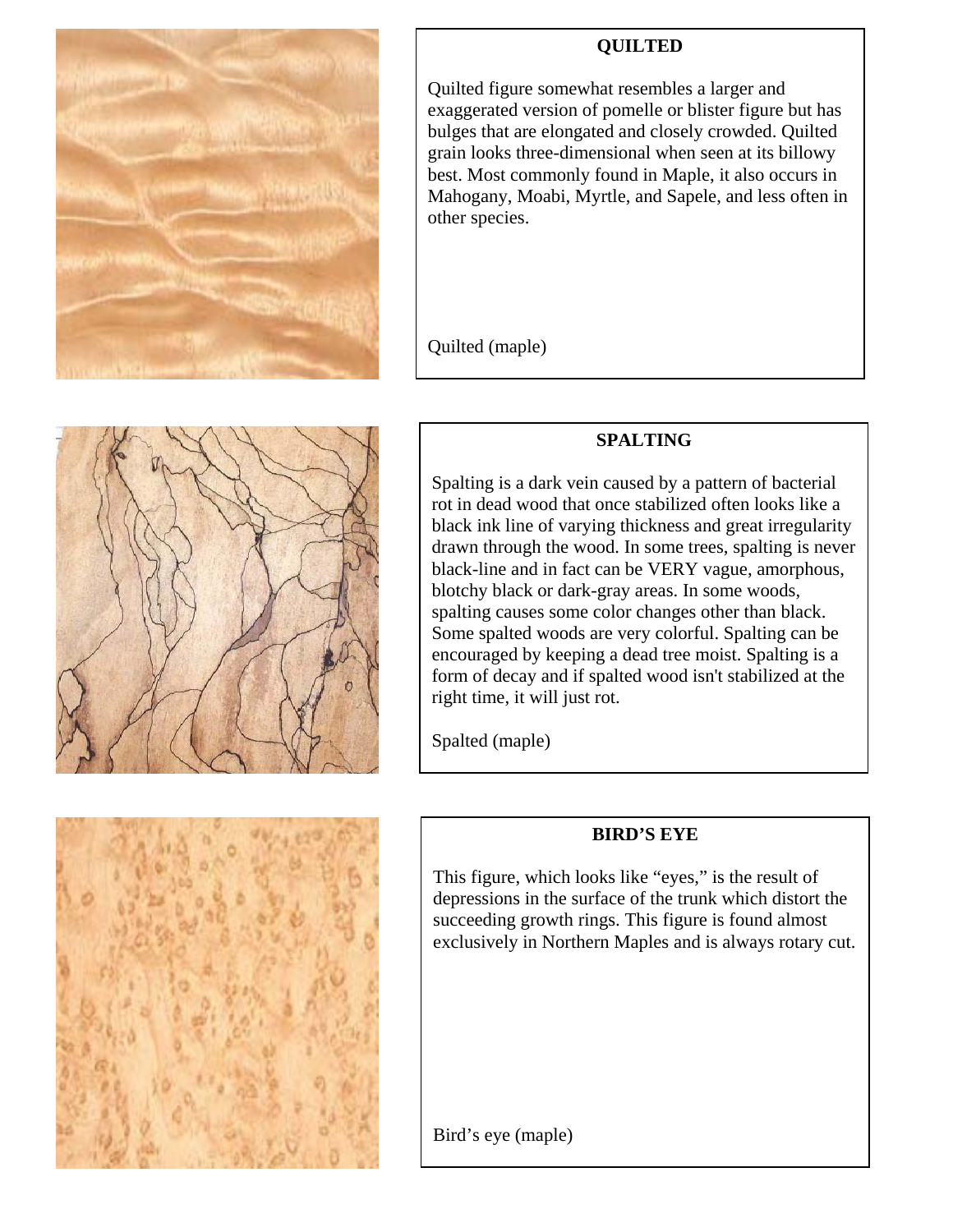

## **QUILTED**

Quilted figure somewhat resembles a larger and exaggerated version of pomelle or blister figure but has bulges that are elongated and closely crowded. Quilted grain looks three-dimensional when seen at its billowy best. Most commonly found in Maple, it also occurs in Mahogany, Moabi, Myrtle, and Sapele, and less often in other species.

Quilted (maple)

## **SPALTING**

Spalting is a dark vein caused by a pattern of bacterial rot in dead wood that once stabilized often looks like a black ink line of varying thickness and great irregularity drawn through the wood. In some trees, spalting is never black-line and in fact can be VERY vague, amorphous, blotchy black or dark-gray areas. In some woods, spalting causes some color changes other than black. Some spalted woods are very colorful. Spalting can be encouraged by keeping a dead tree moist. Spalting is a form of decay and if spalted wood isn't stabilized at the right time, it will just rot.

Spalted (maple)

## **BIRD'S EYE**

This figure, which looks like "eyes," is the result of depressions in the surface of the trunk which distort the succeeding growth rings. This figure is found almost exclusively in Northern Maples and is always rotary cut.

Bird's eye (maple)



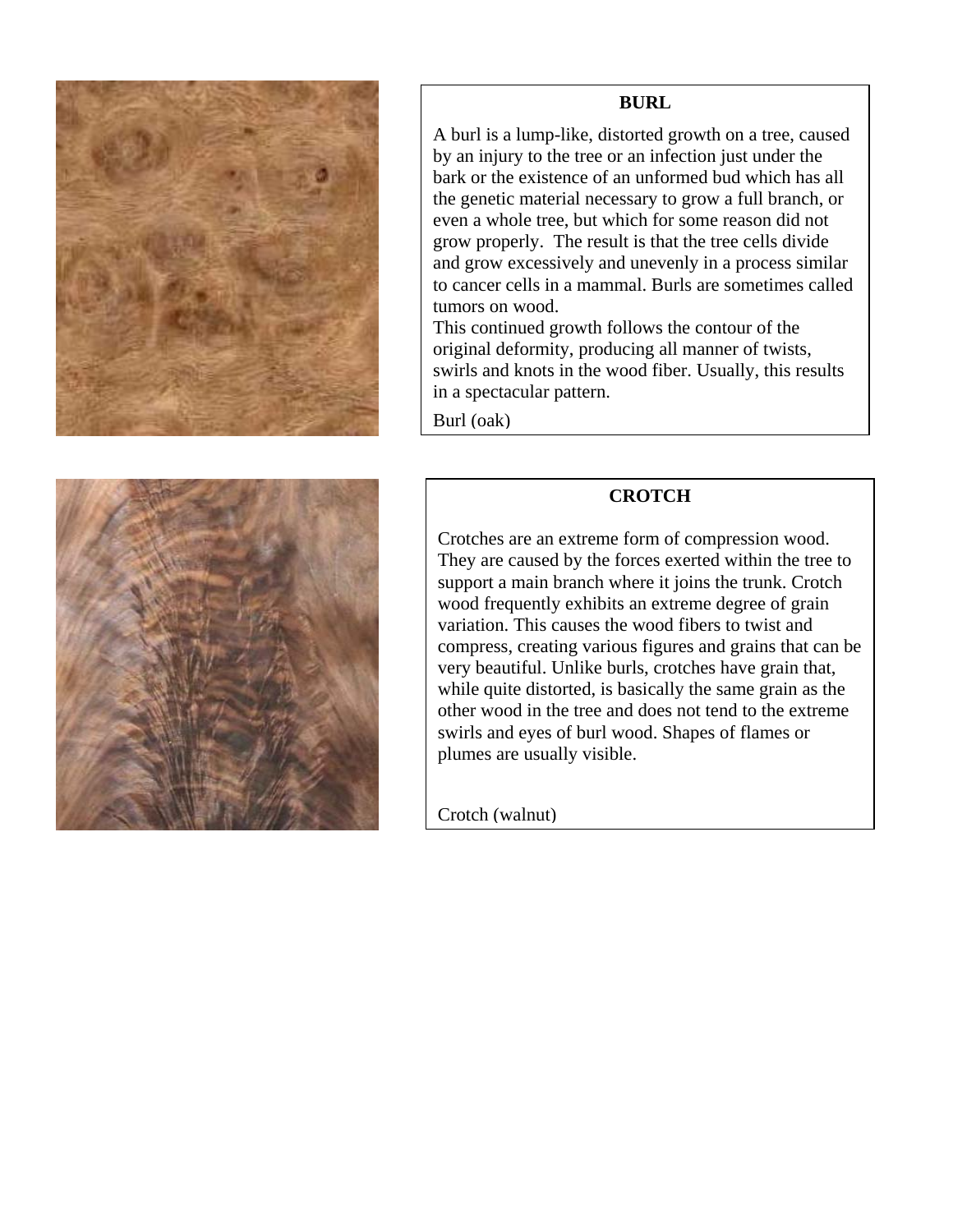

#### **BURL**

A burl is a lump-like, distorted growth on a tree, caused by an injury to the tree or an infection just under the bark or the existence of an unformed bud which has all the genetic material necessary to grow a full branch, or even a whole tree, but which for some reason did not grow properly. The result is that the tree cells divide and grow excessively and unevenly in a process similar to cancer cells in a mammal. Burls are sometimes called tumors on wood.

This continued growth follows the contour of the original deformity, producing all manner of twists, swirls and knots in the wood fiber. Usually, this results in a spectacular pattern.

Burl (oak)

#### **CROTCH**

Crotches are an extreme form of compression wood. They are caused by the forces exerted within the tree to support a main branch where it joins the trunk. Crotch wood frequently exhibits an extreme degree of grain variation. This causes the wood fibers to twist and compress, creating various figures and grains that can be very beautiful. Unlike burls, crotches have grain that, while quite distorted, is basically the same grain as the other wood in the tree and does not tend to the extreme swirls and eyes of burl wood. Shapes of flames or plumes are usually visible.

Crotch (walnut)